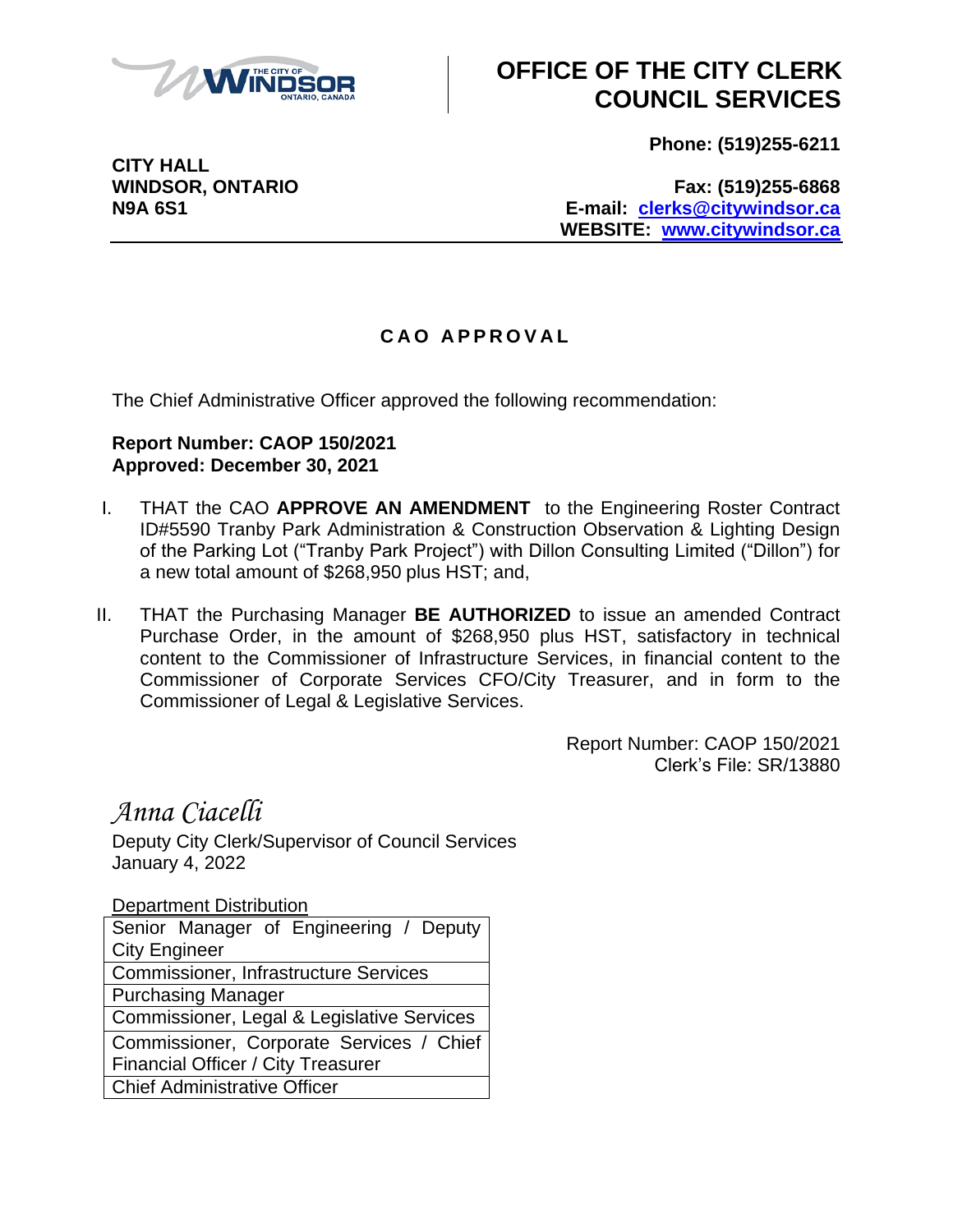

## **OFFICE OF THE CITY CLERK COUNCIL SERVICES**

**Phone: (519)255-6211**

**CITY HALL**

**WINDSOR, ONTARIO Fax: (519)255-6868 N9A 6S1 E-mail: [clerks@citywindsor.ca](mailto:clerks@citywindsor.ca) WEBSITE: [www.citywindsor.ca](http://www.citywindsor.ca/)**

## **C A O A P P R O V A L**

The Chief Administrative Officer approved the following recommendation:

## **Report Number: CAOP 150/2021 Approved: December 30, 2021**

- I. THAT the CAO **APPROVE AN AMENDMENT** to the Engineering Roster Contract ID#5590 Tranby Park Administration & Construction Observation & Lighting Design of the Parking Lot ("Tranby Park Project") with Dillon Consulting Limited ("Dillon") for a new total amount of \$268,950 plus HST; and,
- II. THAT the Purchasing Manager **BE AUTHORIZED** to issue an amended Contract Purchase Order, in the amount of \$268,950 plus HST, satisfactory in technical content to the Commissioner of Infrastructure Services, in financial content to the Commissioner of Corporate Services CFO/City Treasurer, and in form to the Commissioner of Legal & Legislative Services.

Report Number: CAOP 150/2021 Clerk's File: SR/13880

*Anna Ciacelli* Deputy City Clerk/Supervisor of Council Services January 4, 2022

Department Distribution Senior Manager of Engineering / Deputy City Engineer Commissioner, Infrastructure Services Purchasing Manager Commissioner, Legal & Legislative Services Commissioner, Corporate Services / Chief Financial Officer / City Treasurer Chief Administrative Officer